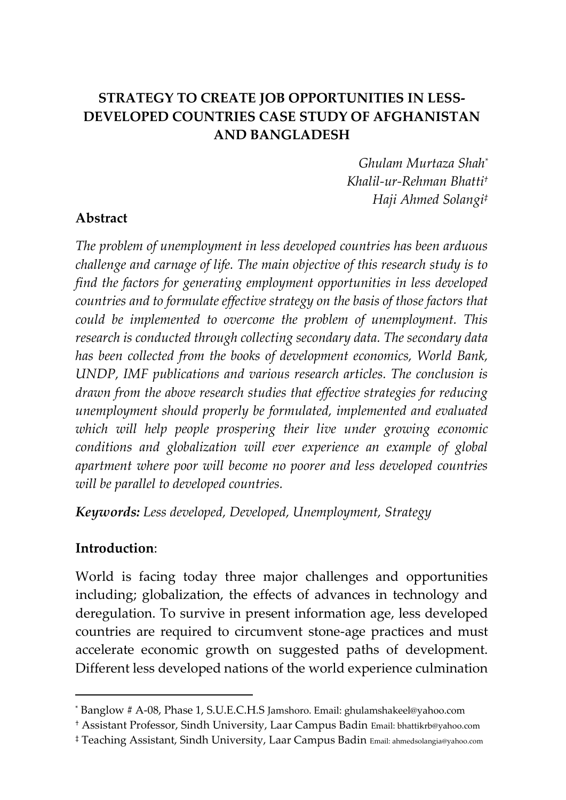## **STRATEGY TO CREATE JOB OPPORTUNITIES IN LESS-DEVELOPED COUNTRIES CASE STUDY OF AFGHANISTAN AND BANGLADESH**

*Ghulam Murtaza Shah\* Khalil-ur-Rehman Bhatti† Haji Ahmed Solangi‡*

#### **Abstract**

*The problem of unemployment in less developed countries has been arduous challenge and carnage of life. The main objective of this research study is to find the factors for generating employment opportunities in less developed countries and to formulate effective strategy on the basis of those factors that could be implemented to overcome the problem of unemployment. This research is conducted through collecting secondary data. The secondary data has been collected from the books of development economics, World Bank, UNDP, IMF publications and various research articles. The conclusion is drawn from the above research studies that effective strategies for reducing unemployment should properly be formulated, implemented and evaluated which will help people prospering their live under growing economic conditions and globalization will ever experience an example of global apartment where poor will become no poorer and less developed countries will be parallel to developed countries.*

*Keywords: Less developed, Developed, Unemployment, Strategy*

#### **Introduction**:

 $\overline{a}$ 

World is facing today three major challenges and opportunities including; globalization, the effects of advances in technology and deregulation. To survive in present information age, less developed countries are required to circumvent stone-age practices and must accelerate economic growth on suggested paths of development. Different less developed nations of the world experience culmination

<sup>\*</sup> Banglow # A-08, Phase 1, S.U.E.C.H.S Jamshoro. Email: ghulamshakeel@yahoo.com

<sup>†</sup> Assistant Professor, Sindh University, Laar Campus Badin Email: bhattikrb@yahoo.com

<sup>‡</sup> Teaching Assistant, Sindh University, Laar Campus Badin Email: ahmedsolangia@yahoo.com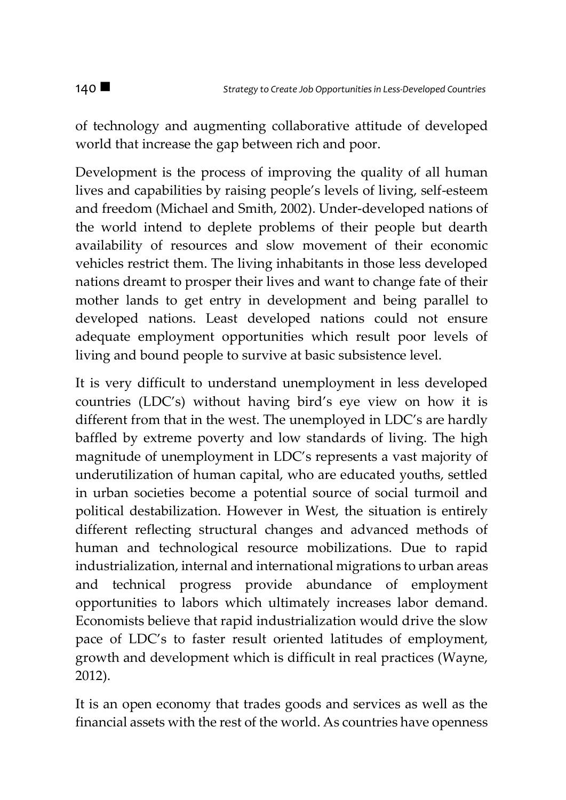of technology and augmenting collaborative attitude of developed world that increase the gap between rich and poor.

Development is the process of improving the quality of all human lives and capabilities by raising people's levels of living, self-esteem and freedom (Michael and Smith, 2002). Under-developed nations of the world intend to deplete problems of their people but dearth availability of resources and slow movement of their economic vehicles restrict them. The living inhabitants in those less developed nations dreamt to prosper their lives and want to change fate of their mother lands to get entry in development and being parallel to developed nations. Least developed nations could not ensure adequate employment opportunities which result poor levels of living and bound people to survive at basic subsistence level.

It is very difficult to understand unemployment in less developed countries (LDC's) without having bird's eye view on how it is different from that in the west. The unemployed in LDC's are hardly baffled by extreme poverty and low standards of living. The high magnitude of unemployment in LDC's represents a vast majority of underutilization of human capital, who are educated youths, settled in urban societies become a potential source of social turmoil and political destabilization. However in West, the situation is entirely different reflecting structural changes and advanced methods of human and technological resource mobilizations. Due to rapid industrialization, internal and international migrations to urban areas and technical progress provide abundance of employment opportunities to labors which ultimately increases labor demand. Economists believe that rapid industrialization would drive the slow pace of LDC's to faster result oriented latitudes of employment, growth and development which is difficult in real practices (Wayne, 2012).

It is an open economy that trades goods and services as well as the financial assets with the rest of the world. As countries have openness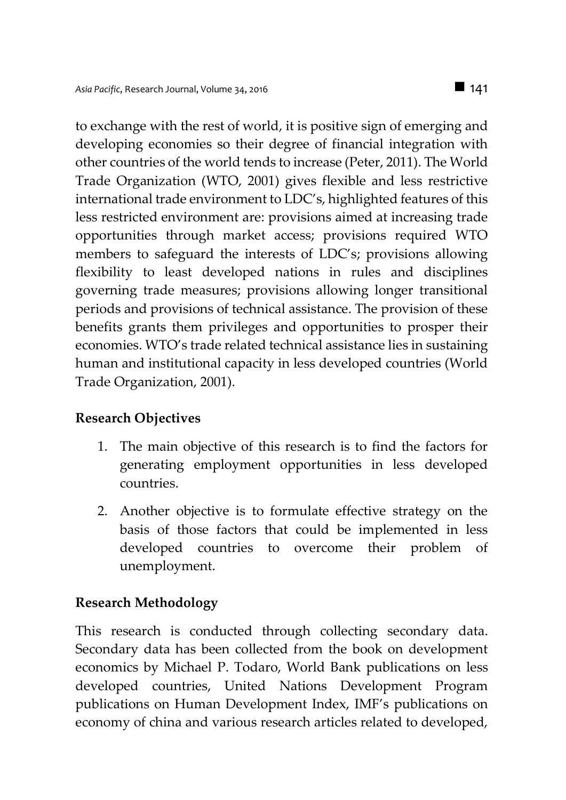to exchange with the rest of world, it is positive sign of emerging and developing economies so their degree of financial integration with other countries of the world tends to increase (Peter, 2011). The World Trade Organization (WTO, 2001) gives flexible and less restrictive international trade environment to LDC's, highlighted features of this less restricted environment are: provisions aimed at increasing trade opportunities through market access; provisions required WTO members to safeguard the interests of LDC's; provisions allowing flexibility to least developed nations in rules and disciplines governing trade measures; provisions allowing longer transitional periods and provisions of technical assistance. The provision of these benefits grants them privileges and opportunities to prosper their economies. WTO's trade related technical assistance lies in sustaining human and institutional capacity in less developed countries (World Trade Organization, 2001).

#### **Research Objectives**

- 1. The main objective of this research is to find the factors for generating employment opportunities in less developed countries.
- 2. Another objective is to formulate effective strategy on the basis of those factors that could be implemented in less developed countries to overcome their problem of unemployment.

#### **Research Methodology**

This research is conducted through collecting secondary data. Secondary data has been collected from the book on development economics by Michael P. Todaro, World Bank publications on less developed countries, United Nations Development Program publications on Human Development Index, IMF's publications on economy of china and various research articles related to developed,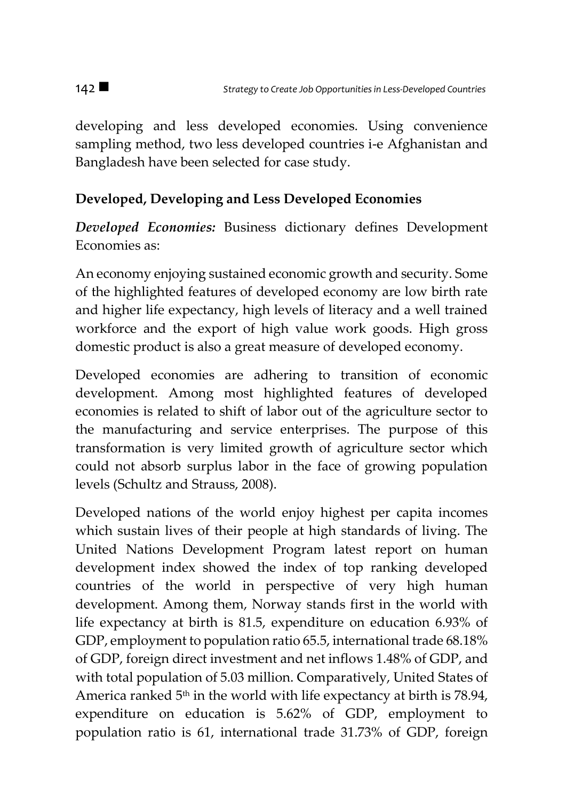developing and less developed economies. Using convenience sampling method, two less developed countries i-e Afghanistan and Bangladesh have been selected for case study.

# **Developed, Developing and Less Developed Economies**

*Developed Economies:* Business dictionary defines Development Economies as:

An economy enjoying sustained economic growth and security. Some of the highlighted features of developed economy are low birth rate and higher life expectancy, high levels of literacy and a well trained workforce and the export of high value work goods. High gross domestic product is also a great measure of developed economy.

Developed economies are adhering to transition of economic development. Among most highlighted features of developed economies is related to shift of labor out of the agriculture sector to the manufacturing and service enterprises. The purpose of this transformation is very limited growth of agriculture sector which could not absorb surplus labor in the face of growing population levels (Schultz and Strauss, 2008).

Developed nations of the world enjoy highest per capita incomes which sustain lives of their people at high standards of living. The United Nations Development Program latest report on human development index showed the index of top ranking developed countries of the world in perspective of very high human development. Among them, Norway stands first in the world with life expectancy at birth is 81.5, expenditure on education 6.93% of GDP, employment to population ratio 65.5, international trade 68.18% of GDP, foreign direct investment and net inflows 1.48% of GDP, and with total population of 5.03 million. Comparatively, United States of America ranked  $5<sup>th</sup>$  in the world with life expectancy at birth is 78.94, expenditure on education is 5.62% of GDP, employment to population ratio is 61, international trade 31.73% of GDP, foreign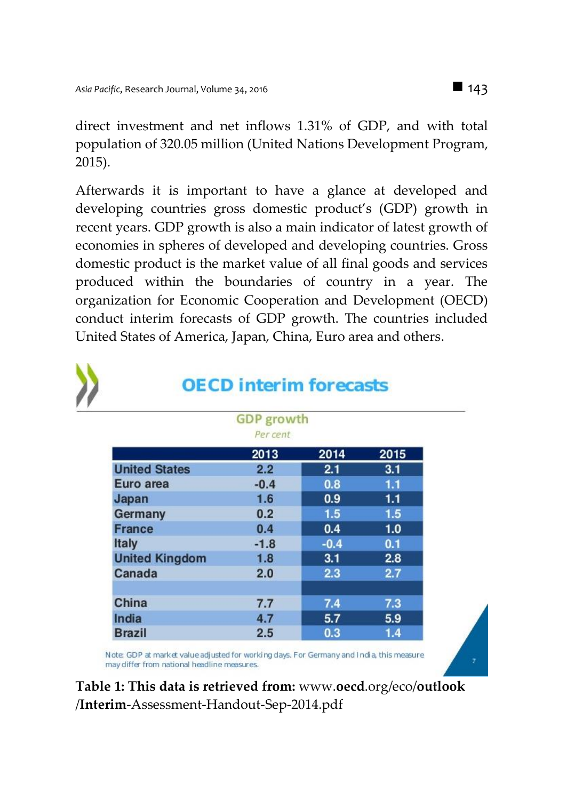direct investment and net inflows 1.31% of GDP, and with total population of 320.05 million (United Nations Development Program, 2015).

Afterwards it is important to have a glance at developed and developing countries gross domestic product's (GDP) growth in recent years. GDP growth is also a main indicator of latest growth of economies in spheres of developed and developing countries. Gross domestic product is the market value of all final goods and services produced within the boundaries of country in a year. The organization for Economic Cooperation and Development (OECD) conduct interim forecasts of GDP growth. The countries included United States of America, Japan, China, Euro area and others.

| <b>GDP</b> growth     |          |        |      |  |
|-----------------------|----------|--------|------|--|
|                       | Per cent |        |      |  |
|                       | 2013     | 2014   | 2015 |  |
| <b>United States</b>  | 2.2      | 2.1    | 3.1  |  |
| Euro area             | $-0.4$   | 0.8    | 1.1  |  |
| Japan                 | 1.6      | 0.9    | 1.1  |  |
| Germany               | 0.2      | 1.5    | 1.5  |  |
| <b>France</b>         | 0.4      | 0.4    | 1.0  |  |
| Italy                 | $-1.8$   | $-0.4$ | 0.1  |  |
| <b>United Kingdom</b> | 1.8      | 3.1    | 2.8  |  |
| Canada                | 2.0      | 2.3    | 2.7  |  |
| China                 | 7.7      | 7.4    | 7.3  |  |
| India                 | 4.7      | 5.7    | 5.9  |  |
| <b>Brazil</b>         | 2.5      | 0.3    | 1.4  |  |

Note: GDP at market value adjusted for working days. For Germany and India, this measure may differ from national headline measures.

**Table 1: This data is retrieved from:** www.**oecd**.org/eco/**outlook** /**Interim**-Assessment-Handout-Sep-2014.pdf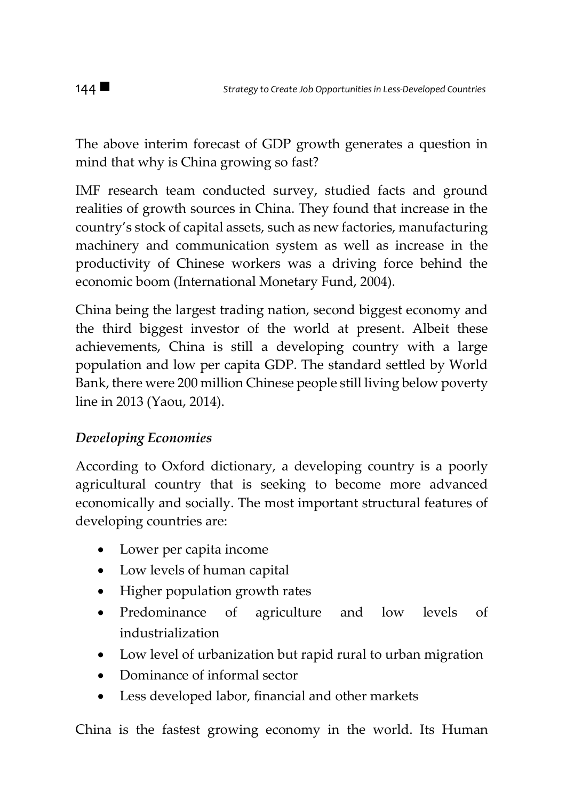The above interim forecast of GDP growth generates a question in mind that why is China growing so fast?

IMF research team conducted survey, studied facts and ground realities of growth sources in China. They found that increase in the country's stock of capital assets, such as new factories, manufacturing machinery and communication system as well as increase in the productivity of Chinese workers was a driving force behind the economic boom (International Monetary Fund, 2004).

China being the largest trading nation, second biggest economy and the third biggest investor of the world at present. Albeit these achievements, China is still a developing country with a large population and low per capita GDP. The standard settled by World Bank, there were 200 million Chinese people still living below poverty line in 2013 (Yaou, 2014).

# *Developing Economies*

According to Oxford dictionary, a developing country is a poorly agricultural country that is seeking to become more advanced economically and socially. The most important structural features of developing countries are:

- Lower per capita income
- Low levels of human capital
- Higher population growth rates
- Predominance of agriculture and low levels of industrialization
- Low level of urbanization but rapid rural to urban migration
- Dominance of informal sector
- Less developed labor, financial and other markets

China is the fastest growing economy in the world. Its Human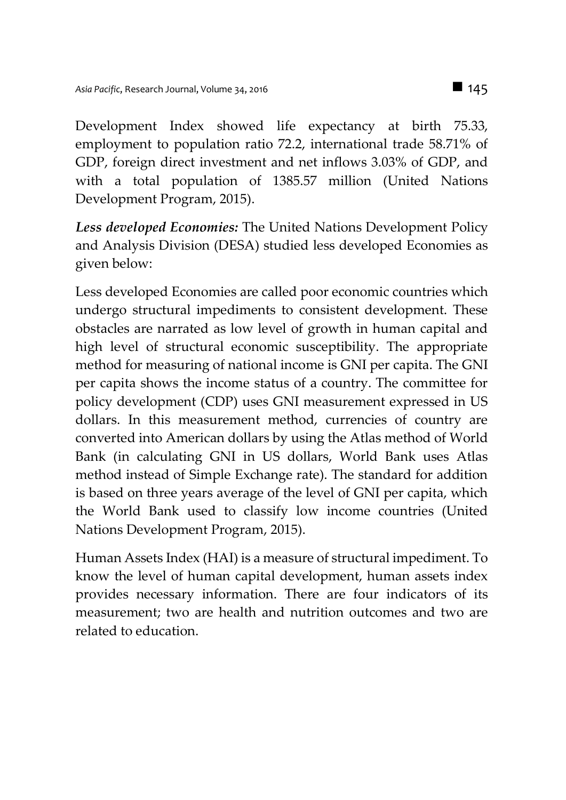Development Index showed life expectancy at birth 75.33, employment to population ratio 72.2, international trade 58.71% of GDP, foreign direct investment and net inflows 3.03% of GDP, and with a total population of 1385.57 million (United Nations Development Program, 2015).

*Less developed Economies:* The United Nations Development Policy and Analysis Division (DESA) studied less developed Economies as given below:

Less developed Economies are called poor economic countries which undergo structural impediments to consistent development. These obstacles are narrated as low level of growth in human capital and high level of structural economic susceptibility. The appropriate method for measuring of national income is GNI per capita. The GNI per capita shows the income status of a country. The committee for policy development (CDP) uses GNI measurement expressed in US dollars. In this measurement method, currencies of country are converted into American dollars by using the Atlas method of World Bank (in calculating GNI in US dollars, World Bank uses Atlas method instead of Simple Exchange rate). The standard for addition is based on three years average of the level of GNI per capita, which the World Bank used to classify low income countries (United Nations Development Program, 2015).

Human Assets Index (HAI) is a measure of structural impediment. To know the level of human capital development, human assets index provides necessary information. There are four indicators of its measurement; two are health and nutrition outcomes and two are related to education.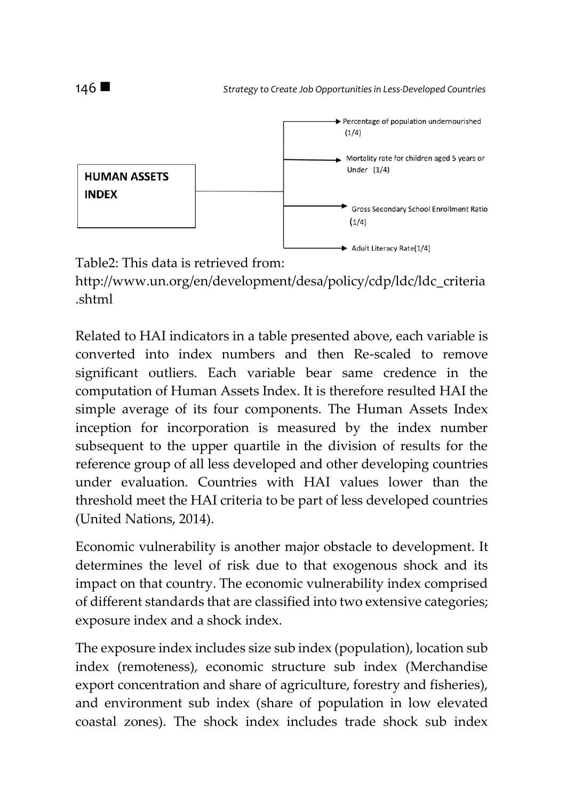

http://www.un.org/en/development/desa/policy/cdp/ldc/ldc\_criteria .shtml

Related to HAI indicators in a table presented above, each variable is converted into index numbers and then Re-scaled to remove significant outliers. Each variable bear same credence in the computation of Human Assets Index. It is therefore resulted HAI the simple average of its four components. The Human Assets Index inception for incorporation is measured by the index number subsequent to the upper quartile in the division of results for the reference group of all less developed and other developing countries under evaluation. Countries with HAI values lower than the threshold meet the HAI criteria to be part of less developed countries (United Nations, 2014).

Economic vulnerability is another major obstacle to development. It determines the level of risk due to that exogenous shock and its impact on that country. The economic vulnerability index comprised of different standards that are classified into two extensive categories; exposure index and a shock index.

The exposure index includes size sub index (population), location sub index (remoteness), economic structure sub index (Merchandise export concentration and share of agriculture, forestry and fisheries), and environment sub index (share of population in low elevated coastal zones). The shock index includes trade shock sub index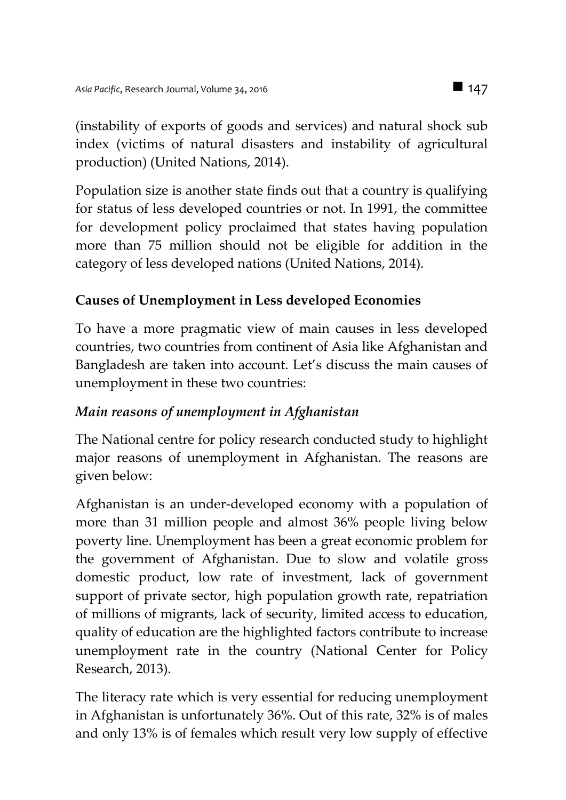(instability of exports of goods and services) and natural shock sub index (victims of natural disasters and instability of agricultural production) (United Nations, 2014).

Population size is another state finds out that a country is qualifying for status of less developed countries or not. In 1991, the committee for development policy proclaimed that states having population more than 75 million should not be eligible for addition in the category of less developed nations (United Nations, 2014).

## **Causes of Unemployment in Less developed Economies**

To have a more pragmatic view of main causes in less developed countries, two countries from continent of Asia like Afghanistan and Bangladesh are taken into account. Let's discuss the main causes of unemployment in these two countries:

### *Main reasons of unemployment in Afghanistan*

The National centre for policy research conducted study to highlight major reasons of unemployment in Afghanistan. The reasons are given below:

Afghanistan is an under-developed economy with a population of more than 31 million people and almost 36% people living below poverty line. Unemployment has been a great economic problem for the government of Afghanistan. Due to slow and volatile gross domestic product, low rate of investment, lack of government support of private sector, high population growth rate, repatriation of millions of migrants, lack of security, limited access to education, quality of education are the highlighted factors contribute to increase unemployment rate in the country (National Center for Policy Research, 2013).

The literacy rate which is very essential for reducing unemployment in Afghanistan is unfortunately 36%. Out of this rate, 32% is of males and only 13% is of females which result very low supply of effective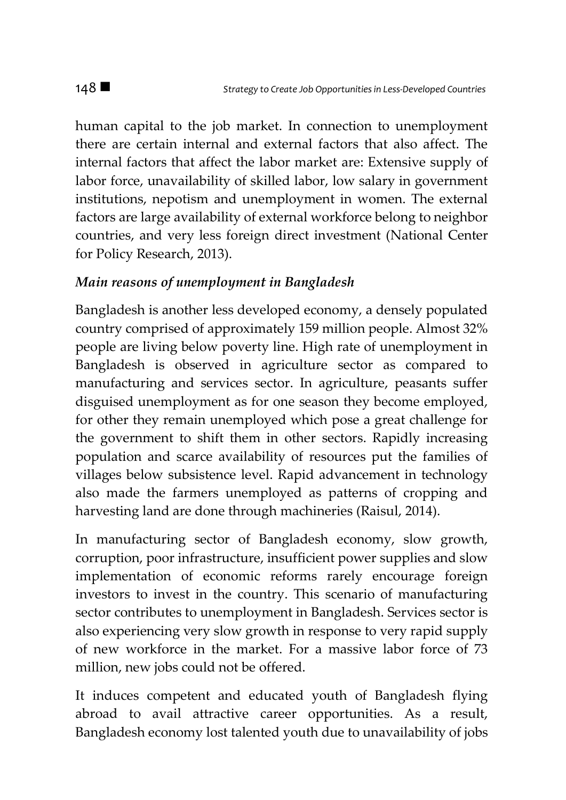human capital to the job market. In connection to unemployment there are certain internal and external factors that also affect. The internal factors that affect the labor market are: Extensive supply of labor force, unavailability of skilled labor, low salary in government institutions, nepotism and unemployment in women. The external factors are large availability of external workforce belong to neighbor countries, and very less foreign direct investment (National Center for Policy Research, 2013).

#### *Main reasons of unemployment in Bangladesh*

Bangladesh is another less developed economy, a densely populated country comprised of approximately 159 million people. Almost 32% people are living below poverty line. High rate of unemployment in Bangladesh is observed in agriculture sector as compared to manufacturing and services sector. In agriculture, peasants suffer disguised unemployment as for one season they become employed, for other they remain unemployed which pose a great challenge for the government to shift them in other sectors. Rapidly increasing population and scarce availability of resources put the families of villages below subsistence level. Rapid advancement in technology also made the farmers unemployed as patterns of cropping and harvesting land are done through machineries (Raisul, 2014).

In manufacturing sector of Bangladesh economy, slow growth, corruption, poor infrastructure, insufficient power supplies and slow implementation of economic reforms rarely encourage foreign investors to invest in the country. This scenario of manufacturing sector contributes to unemployment in Bangladesh. Services sector is also experiencing very slow growth in response to very rapid supply of new workforce in the market. For a massive labor force of 73 million, new jobs could not be offered.

It induces competent and educated youth of Bangladesh flying abroad to avail attractive career opportunities. As a result, Bangladesh economy lost talented youth due to unavailability of jobs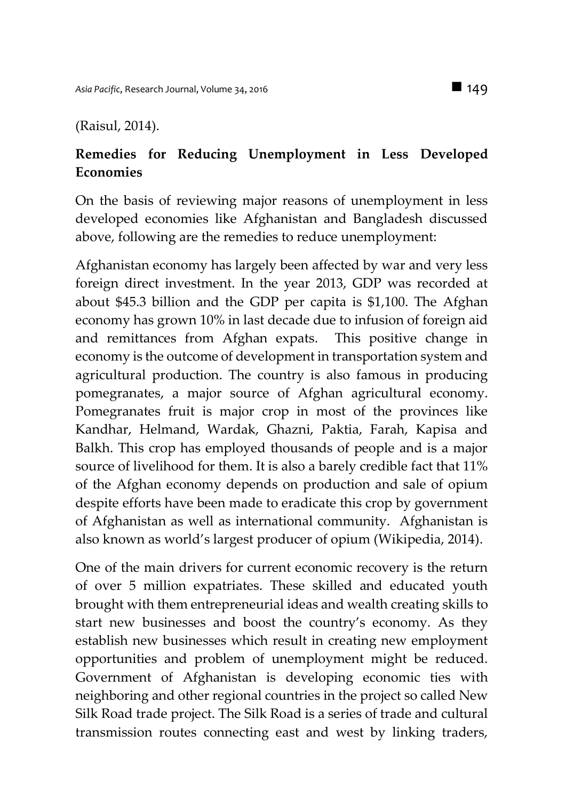(Raisul, 2014).

### **Remedies for Reducing Unemployment in Less Developed Economies**

On the basis of reviewing major reasons of unemployment in less developed economies like Afghanistan and Bangladesh discussed above, following are the remedies to reduce unemployment:

Afghanistan economy has largely been affected by war and very less foreign direct investment. In the year 2013, GDP was recorded at about \$45.3 billion and the GDP per capita is \$1,100. The Afghan economy has grown 10% in last decade due to infusion of foreign aid and remittances from Afghan expats. This positive change in economy is the outcome of development in transportation system and agricultural production. The country is also famous in producing pomegranates, a major source of Afghan agricultural economy. Pomegranates fruit is major crop in most of the provinces like Kandhar, Helmand, Wardak, Ghazni, Paktia, Farah, Kapisa and Balkh. This crop has employed thousands of people and is a major source of livelihood for them. It is also a barely credible fact that 11% of the Afghan economy depends on production and sale of opium despite efforts have been made to eradicate this crop by government of Afghanistan as well as international community. Afghanistan is also known as world's largest producer of opium (Wikipedia, 2014).

One of the main drivers for current economic recovery is the return of over 5 million expatriates. These skilled and educated youth brought with them entrepreneurial ideas and wealth creating skills to start new businesses and boost the country's economy. As they establish new businesses which result in creating new employment opportunities and problem of unemployment might be reduced. Government of Afghanistan is developing economic ties with neighboring and other regional countries in the project so called New Silk Road trade project. The Silk Road is a series of trade and cultural transmission routes connecting east and west by linking traders,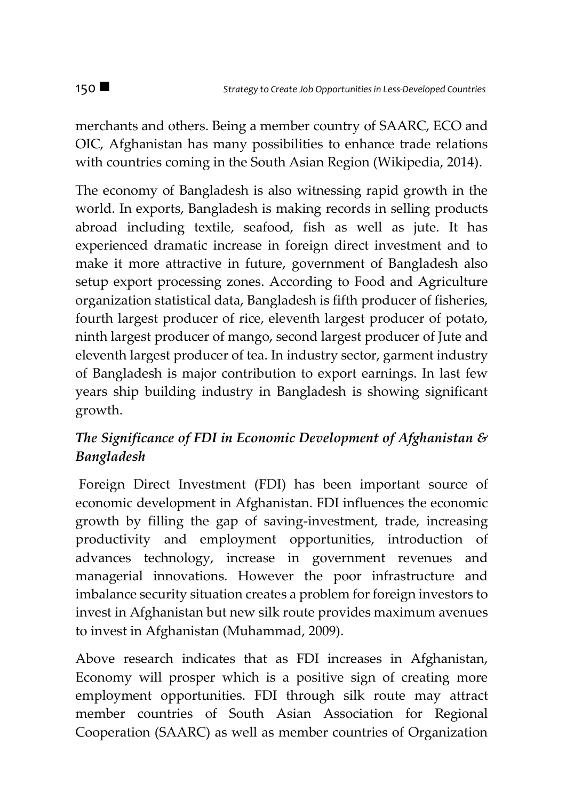merchants and others. Being a member country of SAARC, ECO and OIC, Afghanistan has many possibilities to enhance trade relations with countries coming in the South Asian Region (Wikipedia, 2014).

The economy of Bangladesh is also witnessing rapid growth in the world. In exports, Bangladesh is making records in selling products abroad including textile, seafood, fish as well as jute. It has experienced dramatic increase in foreign direct investment and to make it more attractive in future, government of Bangladesh also setup export processing zones. According to Food and Agriculture organization statistical data, Bangladesh is fifth producer of fisheries, fourth largest producer of rice, eleventh largest producer of potato, ninth largest producer of mango, second largest producer of Jute and eleventh largest producer of tea. In industry sector, garment industry of Bangladesh is major contribution to export earnings. In last few years ship building industry in Bangladesh is showing significant growth.

# *The Significance of FDI in Economic Development of Afghanistan & Bangladesh*

Foreign Direct Investment (FDI) has been important source of economic development in Afghanistan. FDI influences the economic growth by filling the gap of saving-investment, trade, increasing productivity and employment opportunities, introduction of advances technology, increase in government revenues and managerial innovations. However the poor infrastructure and imbalance security situation creates a problem for foreign investors to invest in Afghanistan but new silk route provides maximum avenues to invest in Afghanistan (Muhammad, 2009).

Above research indicates that as FDI increases in Afghanistan, Economy will prosper which is a positive sign of creating more employment opportunities. FDI through silk route may attract member countries of South Asian Association for Regional Cooperation (SAARC) as well as member countries of Organization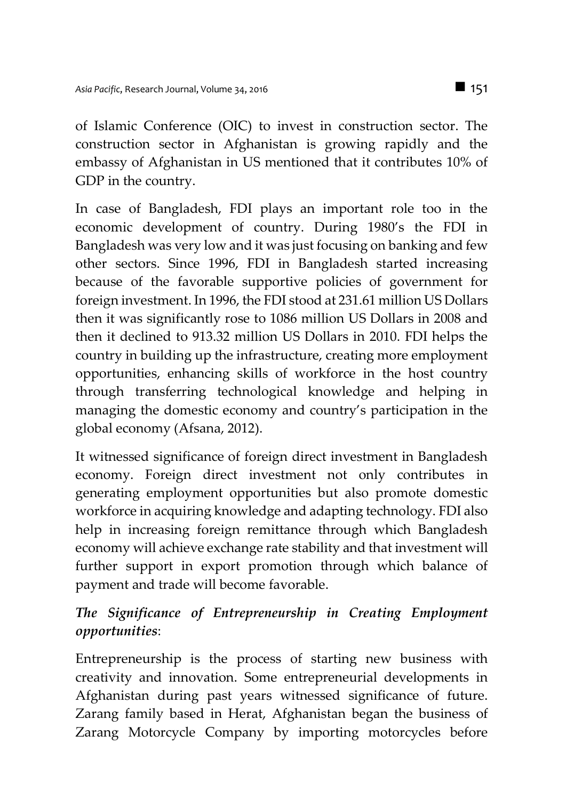of Islamic Conference (OIC) to invest in construction sector. The construction sector in Afghanistan is growing rapidly and the embassy of Afghanistan in US mentioned that it contributes 10% of GDP in the country.

In case of Bangladesh, FDI plays an important role too in the economic development of country. During 1980's the FDI in Bangladesh was very low and it was just focusing on banking and few other sectors. Since 1996, FDI in Bangladesh started increasing because of the favorable supportive policies of government for foreign investment. In 1996, the FDI stood at 231.61 million US Dollars then it was significantly rose to 1086 million US Dollars in 2008 and then it declined to 913.32 million US Dollars in 2010. FDI helps the country in building up the infrastructure, creating more employment opportunities, enhancing skills of workforce in the host country through transferring technological knowledge and helping in managing the domestic economy and country's participation in the global economy (Afsana, 2012).

It witnessed significance of foreign direct investment in Bangladesh economy. Foreign direct investment not only contributes in generating employment opportunities but also promote domestic workforce in acquiring knowledge and adapting technology. FDI also help in increasing foreign remittance through which Bangladesh economy will achieve exchange rate stability and that investment will further support in export promotion through which balance of payment and trade will become favorable.

## *The Significance of Entrepreneurship in Creating Employment opportunities*:

Entrepreneurship is the process of starting new business with creativity and innovation. Some entrepreneurial developments in Afghanistan during past years witnessed significance of future. Zarang family based in Herat, Afghanistan began the business of Zarang Motorcycle Company by importing motorcycles before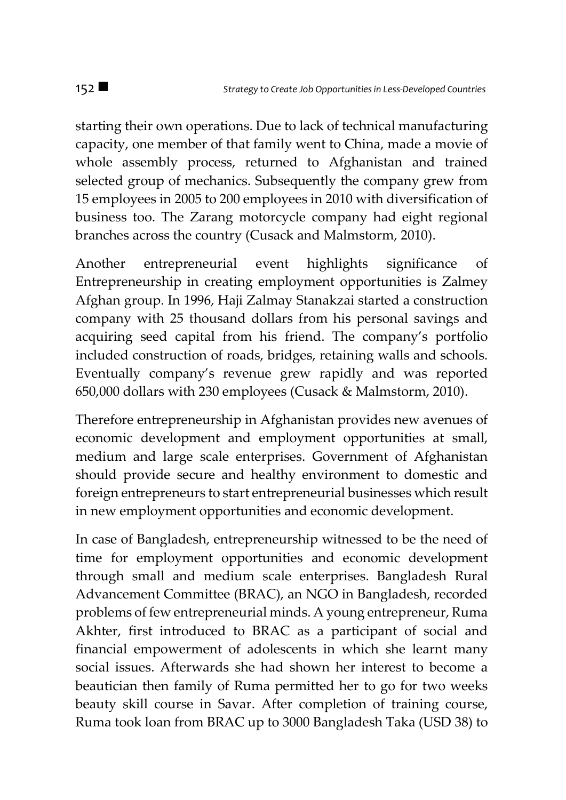starting their own operations. Due to lack of technical manufacturing capacity, one member of that family went to China, made a movie of whole assembly process, returned to Afghanistan and trained selected group of mechanics. Subsequently the company grew from 15 employees in 2005 to 200 employees in 2010 with diversification of business too. The Zarang motorcycle company had eight regional branches across the country (Cusack and Malmstorm, 2010).

Another entrepreneurial event highlights significance of Entrepreneurship in creating employment opportunities is Zalmey Afghan group. In 1996, Haji Zalmay Stanakzai started a construction company with 25 thousand dollars from his personal savings and acquiring seed capital from his friend. The company's portfolio included construction of roads, bridges, retaining walls and schools. Eventually company's revenue grew rapidly and was reported 650,000 dollars with 230 employees (Cusack & Malmstorm, 2010).

Therefore entrepreneurship in Afghanistan provides new avenues of economic development and employment opportunities at small, medium and large scale enterprises. Government of Afghanistan should provide secure and healthy environment to domestic and foreign entrepreneurs to start entrepreneurial businesses which result in new employment opportunities and economic development.

In case of Bangladesh, entrepreneurship witnessed to be the need of time for employment opportunities and economic development through small and medium scale enterprises. Bangladesh Rural Advancement Committee (BRAC), an NGO in Bangladesh, recorded problems of few entrepreneurial minds. A young entrepreneur, Ruma Akhter, first introduced to BRAC as a participant of social and financial empowerment of adolescents in which she learnt many social issues. Afterwards she had shown her interest to become a beautician then family of Ruma permitted her to go for two weeks beauty skill course in Savar. After completion of training course, Ruma took loan from BRAC up to 3000 Bangladesh Taka (USD 38) to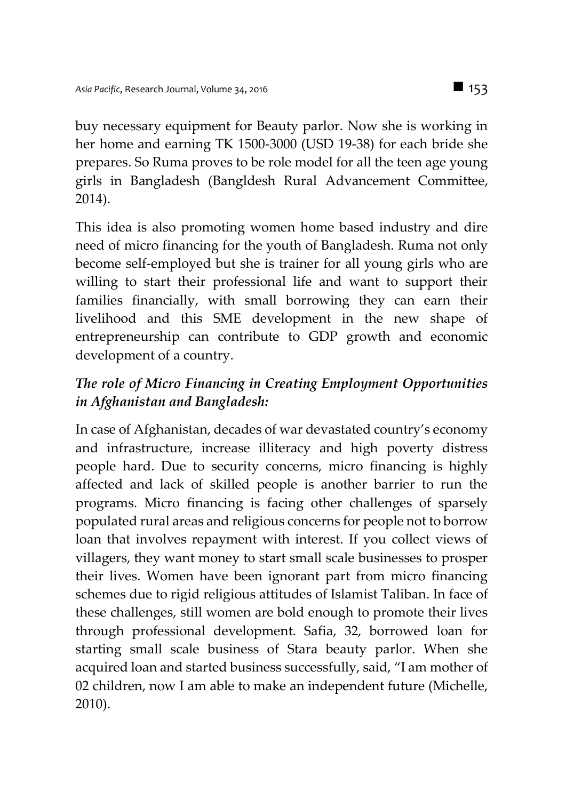buy necessary equipment for Beauty parlor. Now she is working in her home and earning TK 1500-3000 (USD 19-38) for each bride she prepares. So Ruma proves to be role model for all the teen age young girls in Bangladesh (Bangldesh Rural Advancement Committee, 2014).

This idea is also promoting women home based industry and dire need of micro financing for the youth of Bangladesh. Ruma not only become self-employed but she is trainer for all young girls who are willing to start their professional life and want to support their families financially, with small borrowing they can earn their livelihood and this SME development in the new shape of entrepreneurship can contribute to GDP growth and economic development of a country.

# *The role of Micro Financing in Creating Employment Opportunities in Afghanistan and Bangladesh:*

In case of Afghanistan, decades of war devastated country's economy and infrastructure, increase illiteracy and high poverty distress people hard. Due to security concerns, micro financing is highly affected and lack of skilled people is another barrier to run the programs. Micro financing is facing other challenges of sparsely populated rural areas and religious concerns for people not to borrow loan that involves repayment with interest. If you collect views of villagers, they want money to start small scale businesses to prosper their lives. Women have been ignorant part from micro financing schemes due to rigid religious attitudes of Islamist Taliban. In face of these challenges, still women are bold enough to promote their lives through professional development. Safia, 32, borrowed loan for starting small scale business of Stara beauty parlor. When she acquired loan and started business successfully, said, "I am mother of 02 children, now I am able to make an independent future (Michelle, 2010).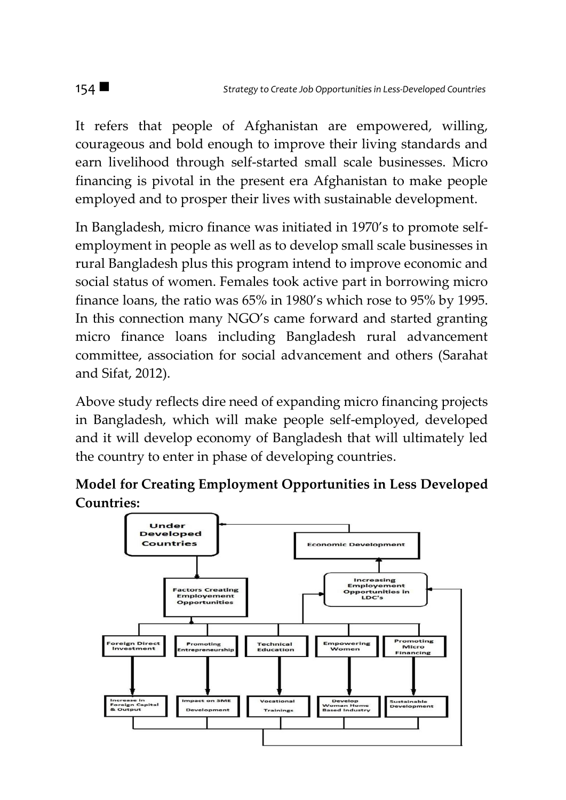It refers that people of Afghanistan are empowered, willing, courageous and bold enough to improve their living standards and earn livelihood through self-started small scale businesses. Micro financing is pivotal in the present era Afghanistan to make people employed and to prosper their lives with sustainable development.

In Bangladesh, micro finance was initiated in 1970's to promote selfemployment in people as well as to develop small scale businesses in rural Bangladesh plus this program intend to improve economic and social status of women. Females took active part in borrowing micro finance loans, the ratio was 65% in 1980's which rose to 95% by 1995. In this connection many NGO's came forward and started granting micro finance loans including Bangladesh rural advancement committee, association for social advancement and others (Sarahat and Sifat, 2012).

Above study reflects dire need of expanding micro financing projects in Bangladesh, which will make people self-employed, developed and it will develop economy of Bangladesh that will ultimately led the country to enter in phase of developing countries.



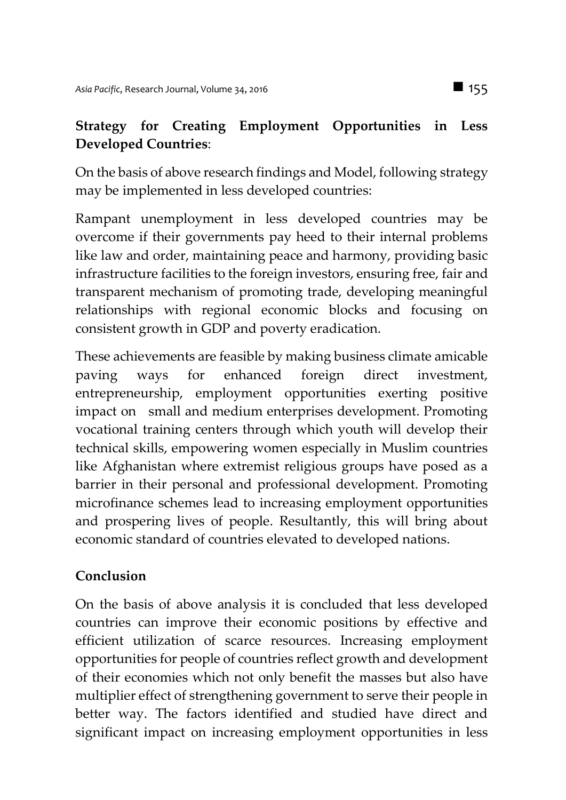# **Strategy for Creating Employment Opportunities in Less Developed Countries**:

On the basis of above research findings and Model, following strategy may be implemented in less developed countries:

Rampant unemployment in less developed countries may be overcome if their governments pay heed to their internal problems like law and order, maintaining peace and harmony, providing basic infrastructure facilities to the foreign investors, ensuring free, fair and transparent mechanism of promoting trade, developing meaningful relationships with regional economic blocks and focusing on consistent growth in GDP and poverty eradication.

These achievements are feasible by making business climate amicable paving ways for enhanced foreign direct investment, entrepreneurship, employment opportunities exerting positive impact on small and medium enterprises development. Promoting vocational training centers through which youth will develop their technical skills, empowering women especially in Muslim countries like Afghanistan where extremist religious groups have posed as a barrier in their personal and professional development. Promoting microfinance schemes lead to increasing employment opportunities and prospering lives of people. Resultantly, this will bring about economic standard of countries elevated to developed nations.

### **Conclusion**

On the basis of above analysis it is concluded that less developed countries can improve their economic positions by effective and efficient utilization of scarce resources. Increasing employment opportunities for people of countries reflect growth and development of their economies which not only benefit the masses but also have multiplier effect of strengthening government to serve their people in better way. The factors identified and studied have direct and significant impact on increasing employment opportunities in less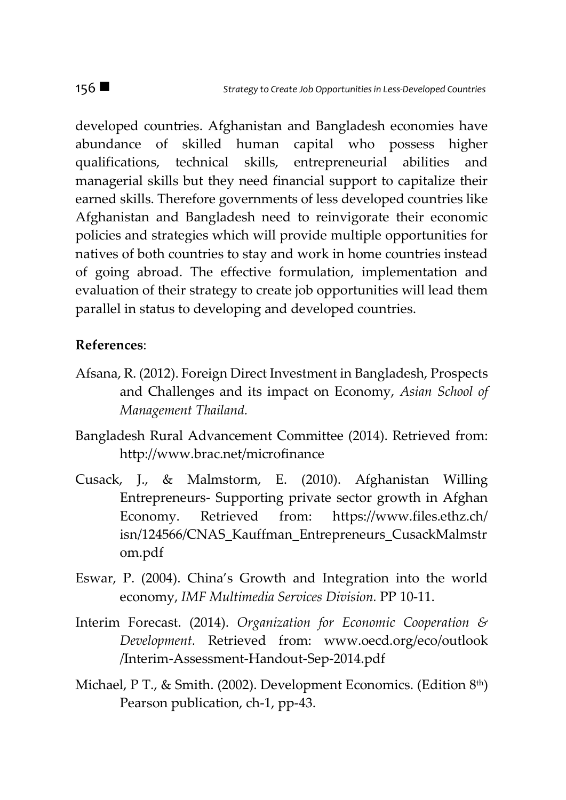developed countries. Afghanistan and Bangladesh economies have abundance of skilled human capital who possess higher qualifications, technical skills, entrepreneurial abilities and managerial skills but they need financial support to capitalize their earned skills. Therefore governments of less developed countries like Afghanistan and Bangladesh need to reinvigorate their economic policies and strategies which will provide multiple opportunities for natives of both countries to stay and work in home countries instead of going abroad. The effective formulation, implementation and evaluation of their strategy to create job opportunities will lead them parallel in status to developing and developed countries.

#### **References**:

- Afsana, R. (2012). Foreign Direct Investment in Bangladesh, Prospects and Challenges and its impact on Economy, *Asian School of Management Thailand.*
- Bangladesh Rural Advancement Committee (2014). Retrieved from: http://www.brac.net/microfinance
- Cusack, J., & Malmstorm, E. (2010). Afghanistan Willing Entrepreneurs- Supporting private sector growth in Afghan Economy. Retrieved from: https://www.files.ethz.ch/ isn/124566/CNAS\_Kauffman\_Entrepreneurs\_CusackMalmstr om.pdf
- Eswar, P. (2004). China's Growth and Integration into the world economy, *IMF Multimedia Services Division.* PP 10-11.
- Interim Forecast. (2014). *Organization for Economic Cooperation & Development.* Retrieved from: www.oecd.org/eco/outlook /Interim-Assessment-Handout-Sep-2014.pdf
- Michael, P T., & Smith. (2002). Development Economics. (Edition  $8<sup>th</sup>$ ) Pearson publication, ch-1, pp-43.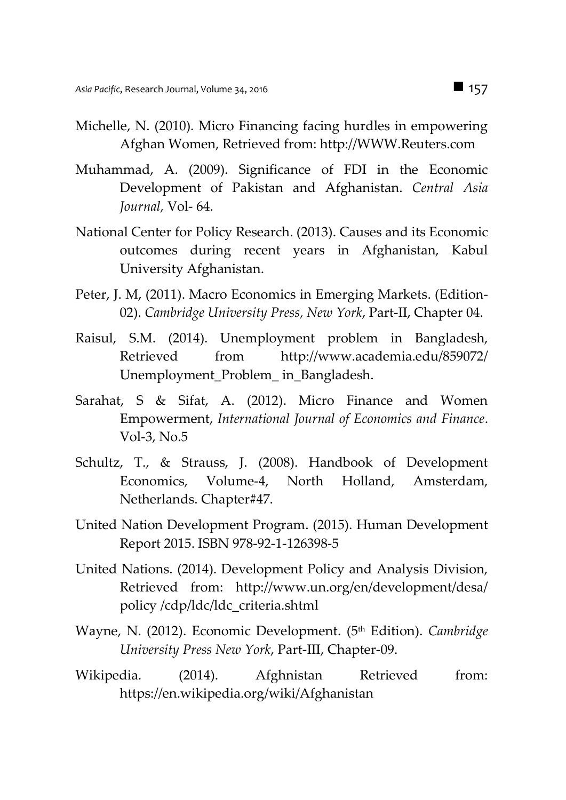- Michelle, N. (2010). Micro Financing facing hurdles in empowering Afghan Women, Retrieved from: http://WWW.Reuters.com
- Muhammad, A. (2009). Significance of FDI in the Economic Development of Pakistan and Afghanistan. *Central Asia Journal,* Vol- 64.
- National Center for Policy Research. (2013). Causes and its Economic outcomes during recent years in Afghanistan, Kabul University Afghanistan.
- Peter, J. M, (2011). Macro Economics in Emerging Markets. (Edition-02). *Cambridge University Press, New York*, Part-II, Chapter 04.
- Raisul, S.M. (2014). Unemployment problem in Bangladesh, Retrieved from http://www.academia.edu/859072/ Unemployment\_Problem\_ in\_Bangladesh.
- Sarahat, S & Sifat, A. (2012). Micro Finance and Women Empowerment, *International Journal of Economics and Finance*. Vol-3, No.5
- Schultz, T., & Strauss, J. (2008). Handbook of Development Economics, Volume-4, North Holland, Amsterdam, Netherlands. Chapter#47.
- United Nation Development Program. (2015). Human Development Report 2015. ISBN 978-92-1-126398-5
- United Nations. (2014). Development Policy and Analysis Division, Retrieved from: http://www.un.org/en/development/desa/ policy /cdp/ldc/ldc\_criteria.shtml
- Wayne, N. (2012). Economic Development. (5 th Edition). *Cambridge University Press New York*, Part-III, Chapter-09.
- Wikipedia. (2014). Afghnistan Retrieved from: https://en.wikipedia.org/wiki/Afghanistan